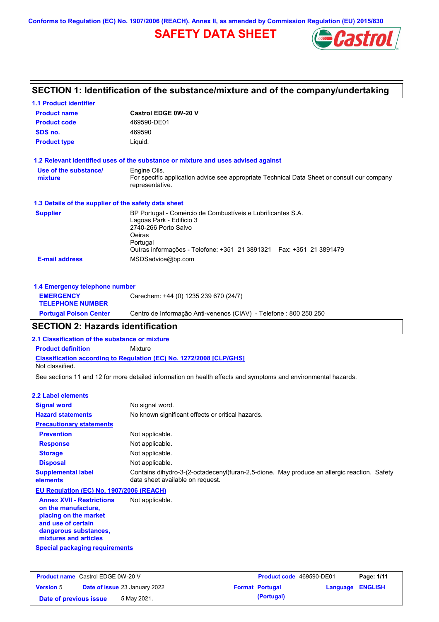**Conforms to Regulation (EC) No. 1907/2006 (REACH), Annex II, as amended by Commission Regulation (EU) 2015/830**

## **SAFETY DATA SHEET**



| SECTION 1: Identification of the substance/mixture and of the company/undertaking |                                                                                                                                                                                                               |  |  |  |
|-----------------------------------------------------------------------------------|---------------------------------------------------------------------------------------------------------------------------------------------------------------------------------------------------------------|--|--|--|
| <b>1.1 Product identifier</b>                                                     |                                                                                                                                                                                                               |  |  |  |
| <b>Product name</b>                                                               | <b>Castrol EDGE 0W-20 V</b>                                                                                                                                                                                   |  |  |  |
| <b>Product code</b>                                                               | 469590-DE01                                                                                                                                                                                                   |  |  |  |
| SDS no.                                                                           | 469590                                                                                                                                                                                                        |  |  |  |
| <b>Product type</b>                                                               | Liquid.                                                                                                                                                                                                       |  |  |  |
|                                                                                   | 1.2 Relevant identified uses of the substance or mixture and uses advised against                                                                                                                             |  |  |  |
| Use of the substance/<br>mixture                                                  | Engine Oils.<br>For specific application advice see appropriate Technical Data Sheet or consult our company<br>representative.                                                                                |  |  |  |
| 1.3 Details of the supplier of the safety data sheet                              |                                                                                                                                                                                                               |  |  |  |
| <b>Supplier</b>                                                                   | BP Portugal - Comércio de Combustíveis e Lubrificantes S.A.<br>Lagoas Park - Edificio 3<br>2740-266 Porto Salvo<br>Oeiras<br>Portugal<br>Outras informações - Telefone: +351 21 3891321  Fax: +351 21 3891479 |  |  |  |
| <b>E-mail address</b>                                                             | MSDSadvice@bp.com                                                                                                                                                                                             |  |  |  |
| 1.4 Emergency telephone number                                                    |                                                                                                                                                                                                               |  |  |  |
| <b>EMERGENCY</b><br><b>TELEPHONE NUMBER</b>                                       | Carechem: +44 (0) 1235 239 670 (24/7)                                                                                                                                                                         |  |  |  |

**SECTION 2: Hazards identification**

**2.1 Classification of the substance or mixture**

**Classification according to Regulation (EC) No. 1272/2008 [CLP/GHS] Product definition** Mixture Not classified.

See sections 11 and 12 for more detailed information on health effects and symptoms and environmental hazards.

**Portugal Poison Center** Centro de Informação Anti-venenos (CIAV) - Telefone : 800 250 250

#### **2.2 Label elements**

| <b>Signal word</b>                                                                                     | No signal word.                                                                                                                 |
|--------------------------------------------------------------------------------------------------------|---------------------------------------------------------------------------------------------------------------------------------|
| <b>Hazard statements</b>                                                                               | No known significant effects or critical hazards.                                                                               |
| <b>Precautionary statements</b>                                                                        |                                                                                                                                 |
| <b>Prevention</b>                                                                                      | Not applicable.                                                                                                                 |
| <b>Response</b>                                                                                        | Not applicable.                                                                                                                 |
| <b>Storage</b>                                                                                         | Not applicable.                                                                                                                 |
| <b>Disposal</b>                                                                                        | Not applicable.                                                                                                                 |
| <b>Supplemental label</b><br>elements                                                                  | Contains dihydro-3-(2-octadecenyl)furan-2,5-dione. May produce an allergic reaction. Safety<br>data sheet available on request. |
| EU Regulation (EC) No. 1907/2006 (REACH)                                                               |                                                                                                                                 |
| <b>Annex XVII - Restrictions</b><br>on the manufacture.<br>placing on the market<br>and use of certain | Not applicable.                                                                                                                 |

**and use of certain dangerous substances, mixtures and articles**

**Special packaging requirements**

| <b>Product name</b> Castrol EDGE 0W-20 V |  | <b>Product code</b> 469590-DE01      |  | Page: 1/11             |                  |  |
|------------------------------------------|--|--------------------------------------|--|------------------------|------------------|--|
| <b>Version 5</b>                         |  | <b>Date of issue 23 January 2022</b> |  | <b>Format Portugal</b> | Language ENGLISH |  |
| Date of previous issue                   |  | 5 May 2021.                          |  | (Portugal)             |                  |  |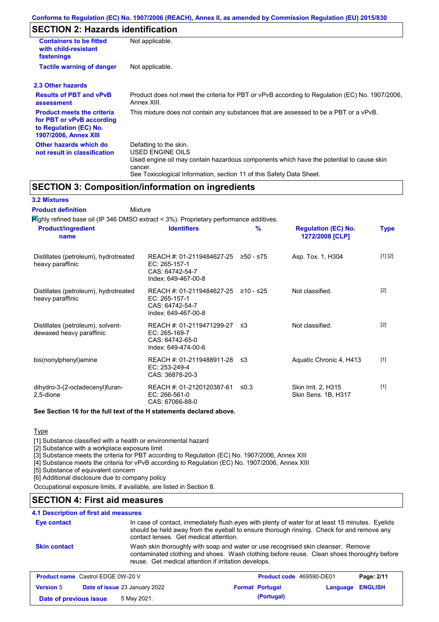## **SECTION 2: Hazards identification**

| <b>Containers to be fitted</b><br>with child-resistant<br>fastenings                                                     | Not applicable.                                                                                                                                                                                                          |  |  |
|--------------------------------------------------------------------------------------------------------------------------|--------------------------------------------------------------------------------------------------------------------------------------------------------------------------------------------------------------------------|--|--|
| <b>Tactile warning of danger</b>                                                                                         | Not applicable.                                                                                                                                                                                                          |  |  |
| 2.3 Other hazards                                                                                                        |                                                                                                                                                                                                                          |  |  |
| <b>Results of PBT and vPvB</b><br>assessment                                                                             | Product does not meet the criteria for PBT or vPvB according to Regulation (EC) No. 1907/2006.<br>Annex XIII.                                                                                                            |  |  |
| <b>Product meets the criteria</b><br>for PBT or vPvB according<br>to Regulation (EC) No.<br><b>1907/2006, Annex XIII</b> | This mixture does not contain any substances that are assessed to be a PBT or a vPvB.                                                                                                                                    |  |  |
| Other hazards which do<br>not result in classification                                                                   | Defatting to the skin.<br>USED ENGINE OILS<br>Used engine oil may contain hazardous components which have the potential to cause skin<br>cancer.<br>See Toxicological Information, section 11 of this Safety Data Sheet. |  |  |

### **SECTION 3: Composition/information on ingredients**

| <b>3.2 Mixtures</b>                                           |                                                                                         |            |                                               |             |
|---------------------------------------------------------------|-----------------------------------------------------------------------------------------|------------|-----------------------------------------------|-------------|
| <b>Product definition</b>                                     | Mixture                                                                                 |            |                                               |             |
|                                                               | Mighly refined base oil (IP 346 DMSO extract < 3%). Proprietary performance additives.  |            |                                               |             |
| <b>Product/ingredient</b><br>name                             | <b>Identifiers</b>                                                                      | %          | <b>Regulation (EC) No.</b><br>1272/2008 [CLP] | <b>Type</b> |
| Distillates (petroleum), hydrotreated<br>heavy paraffinic     | REACH #: 01-2119484627-25<br>EC: 265-157-1<br>CAS: 64742-54-7<br>Index: 649-467-00-8    | ≥50 - ≤75  | Asp. Tox. 1, H304                             | [1] [2]     |
| Distillates (petroleum), hydrotreated<br>heavy paraffinic     | REACH #: 01-2119484627-25<br>EC: 265-157-1<br>CAS: 64742-54-7<br>Index: 649-467-00-8    | ≥10 - ≤25  | Not classified.                               | $[2]$       |
| Distillates (petroleum), solvent-<br>dewaxed heavy paraffinic | REACH #: 01-2119471299-27 ≤3<br>EC: 265-169-7<br>CAS: 64742-65-0<br>Index: 649-474-00-6 |            | Not classified.                               | $[2]$       |
| bis(nonylphenyl)amine                                         | REACH #: 01-2119488911-28 ≤3<br>$EC: 253-249-4$<br>CAS: 36878-20-3                      |            | Aquatic Chronic 4, H413                       | $[1]$       |
| dihydro-3-(2-octadecenyl)furan-<br>2,5-dione                  | REACH #: 01-2120120387-61<br>EC: 266-561-0<br>CAS: 67066-88-0                           | $\leq 0.3$ | Skin Irrit. 2, H315<br>Skin Sens. 1B, H317    | $[1]$       |

#### **See Section 16 for the full text of the H statements declared above.**

**Type** 

[1] Substance classified with a health or environmental hazard

[2] Substance with a workplace exposure limit

[3] Substance meets the criteria for PBT according to Regulation (EC) No. 1907/2006, Annex XIII

[4] Substance meets the criteria for vPvB according to Regulation (EC) No. 1907/2006, Annex XIII

[5] Substance of equivalent concern

[6] Additional disclosure due to company policy

Occupational exposure limits, if available, are listed in Section 8.

### **SECTION 4: First aid measures**

### **4.1 Description of first aid measures**

| Eye contact                              | contact lenses. Get medical attention.               | In case of contact, immediately flush eyes with plenty of water for at least 15 minutes. Eyelids<br>should be held away from the eyeball to ensure thorough rinsing. Check for and remove any |              |
|------------------------------------------|------------------------------------------------------|-----------------------------------------------------------------------------------------------------------------------------------------------------------------------------------------------|--------------|
| <b>Skin contact</b>                      | reuse. Get medical attention if irritation develops. | Wash skin thoroughly with soap and water or use recognised skin cleanser. Remove<br>contaminated clothing and shoes. Wash clothing before reuse. Clean shoes thoroughly before                |              |
| <b>Product name</b> Castrol EDGE 0W-20 V |                                                      | <b>Product code</b> 469590-DE01                                                                                                                                                               | Page: $2/11$ |

| <b>Product name</b> Castrol EDGE 0W-20 V |  | Product code 469590-DE01             |                        | Page: 2/11       |  |
|------------------------------------------|--|--------------------------------------|------------------------|------------------|--|
| <b>Version 5</b>                         |  | <b>Date of issue 23 January 2022</b> | <b>Format Portugal</b> | Language ENGLISH |  |
| Date of previous issue                   |  | 5 May 2021.                          | (Portugal)             |                  |  |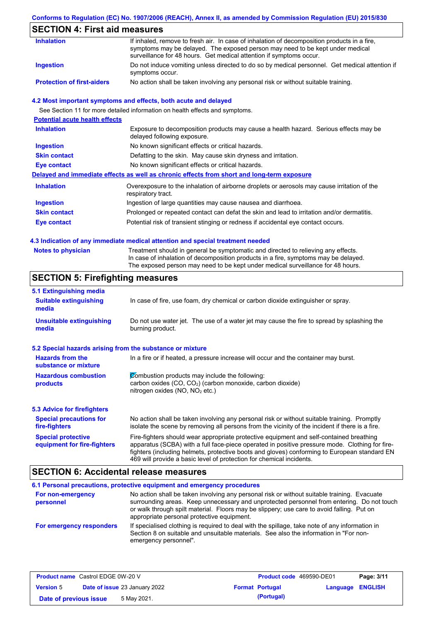### **Conforms to Regulation (EC) No. 1907/2006 (REACH), Annex II, as amended by Commission Regulation (EU) 2015/830**

## **SECTION 4: First aid measures**

| <b>Inhalation</b>                 | If inhaled, remove to fresh air. In case of inhalation of decomposition products in a fire,<br>symptoms may be delayed. The exposed person may need to be kept under medical             |
|-----------------------------------|------------------------------------------------------------------------------------------------------------------------------------------------------------------------------------------|
| Ingestion                         | surveillance for 48 hours. Get medical attention if symptoms occur.<br>Do not induce vomiting unless directed to do so by medical personnel. Get medical attention if<br>symptoms occur. |
| <b>Protection of first-aiders</b> | No action shall be taken involving any personal risk or without suitable training.                                                                                                       |

#### **4.2 Most important symptoms and effects, both acute and delayed**

See Section 11 for more detailed information on health effects and symptoms.

| <b>Potential acute health effects</b> |                                                                                                                     |
|---------------------------------------|---------------------------------------------------------------------------------------------------------------------|
| <b>Inhalation</b>                     | Exposure to decomposition products may cause a health hazard. Serious effects may be<br>delayed following exposure. |
| <b>Ingestion</b>                      | No known significant effects or critical hazards.                                                                   |
| <b>Skin contact</b>                   | Defatting to the skin. May cause skin dryness and irritation.                                                       |
| Eye contact                           | No known significant effects or critical hazards.                                                                   |
|                                       | Delayed and immediate effects as well as chronic effects from short and long-term exposure                          |
| <b>Inhalation</b>                     | Overexposure to the inhalation of airborne droplets or aerosols may cause irritation of the<br>respiratory tract.   |
| <b>Ingestion</b>                      | Ingestion of large quantities may cause nausea and diarrhoea.                                                       |
| <b>Skin contact</b>                   | Prolonged or repeated contact can defat the skin and lead to irritation and/or dermatitis.                          |
| Eye contact                           | Potential risk of transient stinging or redness if accidental eye contact occurs.                                   |
|                                       |                                                                                                                     |

#### **4.3 Indication of any immediate medical attention and special treatment needed**

| <b>Notes to physician</b> | Treatment should in general be symptomatic and directed to relieving any effects.   |
|---------------------------|-------------------------------------------------------------------------------------|
|                           | In case of inhalation of decomposition products in a fire, symptoms may be delayed. |
|                           | The exposed person may need to be kept under medical surveillance for 48 hours.     |

## **SECTION 5: Firefighting measures**

| 5.1 Extinguishing media                                                                                                                                    |                                                                                                                                                                                                                                                                                                                                                                   |
|------------------------------------------------------------------------------------------------------------------------------------------------------------|-------------------------------------------------------------------------------------------------------------------------------------------------------------------------------------------------------------------------------------------------------------------------------------------------------------------------------------------------------------------|
| <b>Suitable extinguishing</b><br>media                                                                                                                     | In case of fire, use foam, dry chemical or carbon dioxide extinguisher or spray.                                                                                                                                                                                                                                                                                  |
| <b>Unsuitable extinguishing</b><br>Do not use water jet. The use of a water jet may cause the fire to spread by splashing the<br>burning product.<br>media |                                                                                                                                                                                                                                                                                                                                                                   |
| 5.2 Special hazards arising from the substance or mixture                                                                                                  |                                                                                                                                                                                                                                                                                                                                                                   |
| <b>Hazards from the</b><br>substance or mixture                                                                                                            | In a fire or if heated, a pressure increase will occur and the container may burst.                                                                                                                                                                                                                                                                               |
| <b>Hazardous combustion</b><br>products                                                                                                                    | Combustion products may include the following:<br>carbon oxides (CO, CO <sub>2</sub> ) (carbon monoxide, carbon dioxide)<br>nitrogen oxides (NO, NO <sub>2</sub> etc.)                                                                                                                                                                                            |
| <b>5.3 Advice for firefighters</b>                                                                                                                         |                                                                                                                                                                                                                                                                                                                                                                   |
| <b>Special precautions for</b><br>fire-fighters                                                                                                            | No action shall be taken involving any personal risk or without suitable training. Promptly<br>isolate the scene by removing all persons from the vicinity of the incident if there is a fire.                                                                                                                                                                    |
| <b>Special protective</b><br>equipment for fire-fighters                                                                                                   | Fire-fighters should wear appropriate protective equipment and self-contained breathing<br>apparatus (SCBA) with a full face-piece operated in positive pressure mode. Clothing for fire-<br>fighters (including helmets, protective boots and gloves) conforming to European standard EN<br>469 will provide a basic level of protection for chemical incidents. |

### **SECTION 6: Accidental release measures**

|                                | 6.1 Personal precautions, protective equipment and emergency procedures                                                                                                                                                                                                                                                             |
|--------------------------------|-------------------------------------------------------------------------------------------------------------------------------------------------------------------------------------------------------------------------------------------------------------------------------------------------------------------------------------|
| For non-emergency<br>personnel | No action shall be taken involving any personal risk or without suitable training. Evacuate<br>surrounding areas. Keep unnecessary and unprotected personnel from entering. Do not touch<br>or walk through spilt material. Floors may be slippery; use care to avoid falling. Put on<br>appropriate personal protective equipment. |
| For emergency responders       | If specialised clothing is required to deal with the spillage, take note of any information in<br>Section 8 on suitable and unsuitable materials. See also the information in "For non-<br>emergency personnel".                                                                                                                    |

| <b>Product name</b> Castrol EDGE 0W-20 V |  |                                      | <b>Product code</b> 469590-DE01 |                        | Page: 3/11              |  |
|------------------------------------------|--|--------------------------------------|---------------------------------|------------------------|-------------------------|--|
| <b>Version 5</b>                         |  | <b>Date of issue 23 January 2022</b> |                                 | <b>Format Portugal</b> | <b>Language ENGLISH</b> |  |
| Date of previous issue                   |  | 5 May 2021.                          |                                 | (Portugal)             |                         |  |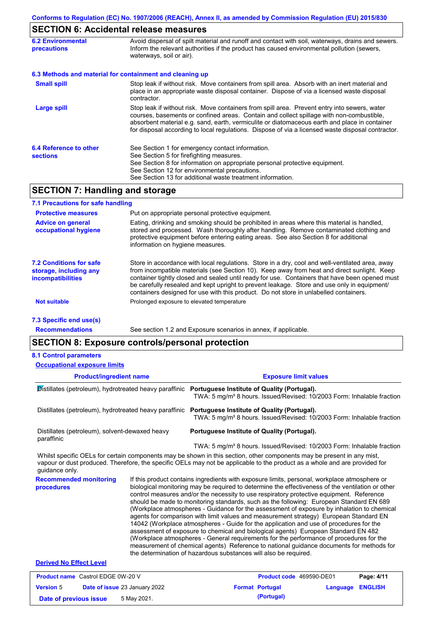# **SECTION 6: Accidental release measures**

| <b>6.2 Environmental</b><br>precautions   | Avoid dispersal of spilt material and runoff and contact with soil, waterways, drains and sewers.<br>Inform the relevant authorities if the product has caused environmental pollution (sewers,<br>waterways, soil or air).                                                                                                                                                                    |
|-------------------------------------------|------------------------------------------------------------------------------------------------------------------------------------------------------------------------------------------------------------------------------------------------------------------------------------------------------------------------------------------------------------------------------------------------|
|                                           | 6.3 Methods and material for containment and cleaning up                                                                                                                                                                                                                                                                                                                                       |
| <b>Small spill</b>                        | Stop leak if without risk. Move containers from spill area. Absorb with an inert material and<br>place in an appropriate waste disposal container. Dispose of via a licensed waste disposal<br>contractor.                                                                                                                                                                                     |
| <b>Large spill</b>                        | Stop leak if without risk. Move containers from spill area. Prevent entry into sewers, water<br>courses, basements or confined areas. Contain and collect spillage with non-combustible,<br>absorbent material e.g. sand, earth, vermiculite or diatomaceous earth and place in container<br>for disposal according to local regulations. Dispose of via a licensed waste disposal contractor. |
| 6.4 Reference to other<br><b>sections</b> | See Section 1 for emergency contact information.<br>See Section 5 for firefighting measures.<br>See Section 8 for information on appropriate personal protective equipment.<br>See Section 12 for environmental precautions.<br>See Section 13 for additional waste treatment information.                                                                                                     |

# **SECTION 7: Handling and storage**

| 7.1 Precautions for safe handling                                                    |                                                                                                                                                                                                                                                                                                                                                                                                                                                                                          |
|--------------------------------------------------------------------------------------|------------------------------------------------------------------------------------------------------------------------------------------------------------------------------------------------------------------------------------------------------------------------------------------------------------------------------------------------------------------------------------------------------------------------------------------------------------------------------------------|
| <b>Protective measures</b>                                                           | Put on appropriate personal protective equipment.                                                                                                                                                                                                                                                                                                                                                                                                                                        |
| <b>Advice on general</b><br>occupational hygiene                                     | Eating, drinking and smoking should be prohibited in areas where this material is handled,<br>stored and processed. Wash thoroughly after handling. Remove contaminated clothing and<br>protective equipment before entering eating areas. See also Section 8 for additional<br>information on hygiene measures.                                                                                                                                                                         |
| <b>7.2 Conditions for safe</b><br>storage, including any<br><i>incompatibilities</i> | Store in accordance with local requlations. Store in a dry, cool and well-ventilated area, away<br>from incompatible materials (see Section 10). Keep away from heat and direct sunlight. Keep<br>container tightly closed and sealed until ready for use. Containers that have been opened must<br>be carefully resealed and kept upright to prevent leakage. Store and use only in equipment/<br>containers designed for use with this product. Do not store in unlabelled containers. |
| <b>Not suitable</b>                                                                  | Prolonged exposure to elevated temperature                                                                                                                                                                                                                                                                                                                                                                                                                                               |
| 7.3 Specific end use(s)                                                              |                                                                                                                                                                                                                                                                                                                                                                                                                                                                                          |
| <b>Recommendations</b>                                                               | See section 1.2 and Exposure scenarios in annex, if applicable.                                                                                                                                                                                                                                                                                                                                                                                                                          |

### **SECTION 8: Exposure controls/personal protection**

#### **8.1 Control parameters**

| <b>Occupational exposure limits</b>                                                                |  |                                                                                                                                                                                                                                                                                                                                                                                                                                                                                                                                                                                                                                                                                                                                                                                                                                                                                                                                                                                                                            |  |  |  |  |  |
|----------------------------------------------------------------------------------------------------|--|----------------------------------------------------------------------------------------------------------------------------------------------------------------------------------------------------------------------------------------------------------------------------------------------------------------------------------------------------------------------------------------------------------------------------------------------------------------------------------------------------------------------------------------------------------------------------------------------------------------------------------------------------------------------------------------------------------------------------------------------------------------------------------------------------------------------------------------------------------------------------------------------------------------------------------------------------------------------------------------------------------------------------|--|--|--|--|--|
| <b>Product/ingredient name</b>                                                                     |  | <b>Exposure limit values</b>                                                                                                                                                                                                                                                                                                                                                                                                                                                                                                                                                                                                                                                                                                                                                                                                                                                                                                                                                                                               |  |  |  |  |  |
| Distillates (petroleum), hydrotreated heavy paraffinic Portuguese Institute of Quality (Portugal). |  | TWA: 5 mg/m <sup>3</sup> 8 hours. Issued/Revised: 10/2003 Form: Inhalable fraction                                                                                                                                                                                                                                                                                                                                                                                                                                                                                                                                                                                                                                                                                                                                                                                                                                                                                                                                         |  |  |  |  |  |
| Distillates (petroleum), hydrotreated heavy paraffinic                                             |  | Portuguese Institute of Quality (Portugal).<br>TWA: 5 mg/m <sup>3</sup> 8 hours. Issued/Revised: 10/2003 Form: Inhalable fraction                                                                                                                                                                                                                                                                                                                                                                                                                                                                                                                                                                                                                                                                                                                                                                                                                                                                                          |  |  |  |  |  |
| Distillates (petroleum), solvent-dewaxed heavy<br>paraffinic                                       |  | Portuguese Institute of Quality (Portugal).                                                                                                                                                                                                                                                                                                                                                                                                                                                                                                                                                                                                                                                                                                                                                                                                                                                                                                                                                                                |  |  |  |  |  |
|                                                                                                    |  | TWA: 5 mg/m <sup>3</sup> 8 hours. Issued/Revised: 10/2003 Form: Inhalable fraction                                                                                                                                                                                                                                                                                                                                                                                                                                                                                                                                                                                                                                                                                                                                                                                                                                                                                                                                         |  |  |  |  |  |
| quidance only.                                                                                     |  | Whilst specific OELs for certain components may be shown in this section, other components may be present in any mist,<br>vapour or dust produced. Therefore, the specific OELs may not be applicable to the product as a whole and are provided for                                                                                                                                                                                                                                                                                                                                                                                                                                                                                                                                                                                                                                                                                                                                                                       |  |  |  |  |  |
| <b>Recommended monitoring</b><br>procedures                                                        |  | If this product contains ingredients with exposure limits, personal, workplace atmosphere or<br>biological monitoring may be required to determine the effectiveness of the ventilation or other<br>control measures and/or the necessity to use respiratory protective equipment. Reference<br>should be made to monitoring standards, such as the following: European Standard EN 689<br>(Workplace atmospheres - Guidance for the assessment of exposure by inhalation to chemical<br>agents for comparison with limit values and measurement strategy) European Standard EN<br>14042 (Workplace atmospheres - Guide for the application and use of procedures for the<br>assessment of exposure to chemical and biological agents) European Standard EN 482<br>(Workplace atmospheres - General requirements for the performance of procedures for the<br>measurement of chemical agents) Reference to national guidance documents for methods for<br>the determination of hazardous substances will also be required. |  |  |  |  |  |
| <b>Derived No Effect Level</b>                                                                     |  |                                                                                                                                                                                                                                                                                                                                                                                                                                                                                                                                                                                                                                                                                                                                                                                                                                                                                                                                                                                                                            |  |  |  |  |  |
| <b>Product name</b> Castrol EDGE 0W-20 V                                                           |  | Page: 4/11<br>Product code 469590-DE01                                                                                                                                                                                                                                                                                                                                                                                                                                                                                                                                                                                                                                                                                                                                                                                                                                                                                                                                                                                     |  |  |  |  |  |

|                        |                                      |                        |                  | . |
|------------------------|--------------------------------------|------------------------|------------------|---|
| <b>Version 5</b>       | <b>Date of issue 23 January 2022</b> | <b>Format Portugal</b> | Language ENGLISH |   |
| Date of previous issue | 5 May 2021.                          | (Portugal)             |                  |   |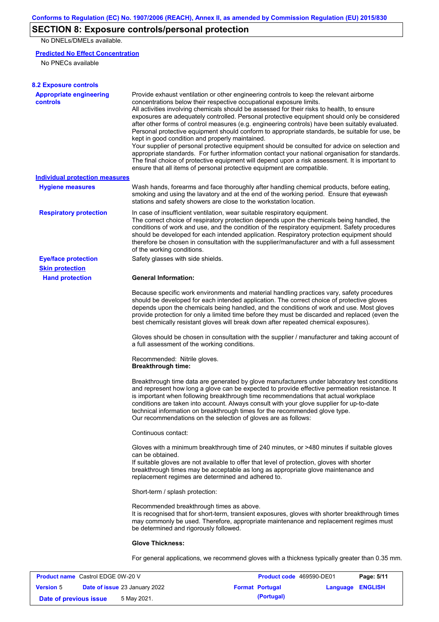## **SECTION 8: Exposure controls/personal protection**

No DNELs/DMELs available.

#### **Predicted No Effect Concentration**

No PNECs available

| <b>8.2 Exposure controls</b>                         |                                                                                                                                                                                                                                                                                                                                                                                                                                                                                                                                                                                                                                                                                                                                                                                                                                                                                                                                                                                                         |
|------------------------------------------------------|---------------------------------------------------------------------------------------------------------------------------------------------------------------------------------------------------------------------------------------------------------------------------------------------------------------------------------------------------------------------------------------------------------------------------------------------------------------------------------------------------------------------------------------------------------------------------------------------------------------------------------------------------------------------------------------------------------------------------------------------------------------------------------------------------------------------------------------------------------------------------------------------------------------------------------------------------------------------------------------------------------|
| <b>Appropriate engineering</b><br>controls           | Provide exhaust ventilation or other engineering controls to keep the relevant airborne<br>concentrations below their respective occupational exposure limits.<br>All activities involving chemicals should be assessed for their risks to health, to ensure<br>exposures are adequately controlled. Personal protective equipment should only be considered<br>after other forms of control measures (e.g. engineering controls) have been suitably evaluated.<br>Personal protective equipment should conform to appropriate standards, be suitable for use, be<br>kept in good condition and properly maintained.<br>Your supplier of personal protective equipment should be consulted for advice on selection and<br>appropriate standards. For further information contact your national organisation for standards.<br>The final choice of protective equipment will depend upon a risk assessment. It is important to<br>ensure that all items of personal protective equipment are compatible. |
| <b>Individual protection measures</b>                |                                                                                                                                                                                                                                                                                                                                                                                                                                                                                                                                                                                                                                                                                                                                                                                                                                                                                                                                                                                                         |
| <b>Hygiene measures</b>                              | Wash hands, forearms and face thoroughly after handling chemical products, before eating,<br>smoking and using the lavatory and at the end of the working period. Ensure that eyewash<br>stations and safety showers are close to the workstation location.                                                                                                                                                                                                                                                                                                                                                                                                                                                                                                                                                                                                                                                                                                                                             |
| <b>Respiratory protection</b>                        | In case of insufficient ventilation, wear suitable respiratory equipment.<br>The correct choice of respiratory protection depends upon the chemicals being handled, the<br>conditions of work and use, and the condition of the respiratory equipment. Safety procedures<br>should be developed for each intended application. Respiratory protection equipment should<br>therefore be chosen in consultation with the supplier/manufacturer and with a full assessment<br>of the working conditions.                                                                                                                                                                                                                                                                                                                                                                                                                                                                                                   |
| <b>Eye/face protection</b><br><b>Skin protection</b> | Safety glasses with side shields.                                                                                                                                                                                                                                                                                                                                                                                                                                                                                                                                                                                                                                                                                                                                                                                                                                                                                                                                                                       |
| <b>Hand protection</b>                               | <b>General Information:</b>                                                                                                                                                                                                                                                                                                                                                                                                                                                                                                                                                                                                                                                                                                                                                                                                                                                                                                                                                                             |
|                                                      | Because specific work environments and material handling practices vary, safety procedures<br>should be developed for each intended application. The correct choice of protective gloves<br>depends upon the chemicals being handled, and the conditions of work and use. Most gloves<br>provide protection for only a limited time before they must be discarded and replaced (even the<br>best chemically resistant gloves will break down after repeated chemical exposures).                                                                                                                                                                                                                                                                                                                                                                                                                                                                                                                        |
|                                                      | Gloves should be chosen in consultation with the supplier / manufacturer and taking account of<br>a full assessment of the working conditions.                                                                                                                                                                                                                                                                                                                                                                                                                                                                                                                                                                                                                                                                                                                                                                                                                                                          |
|                                                      | Recommended: Nitrile gloves.<br><b>Breakthrough time:</b>                                                                                                                                                                                                                                                                                                                                                                                                                                                                                                                                                                                                                                                                                                                                                                                                                                                                                                                                               |
|                                                      | Breakthrough time data are generated by glove manufacturers under laboratory test conditions<br>and represent how long a glove can be expected to provide effective permeation resistance. It<br>is important when following breakthrough time recommendations that actual workplace<br>conditions are taken into account. Always consult with your glove supplier for up-to-date<br>technical information on breakthrough times for the recommended glove type.<br>Our recommendations on the selection of gloves are as follows:                                                                                                                                                                                                                                                                                                                                                                                                                                                                      |
|                                                      | Continuous contact:                                                                                                                                                                                                                                                                                                                                                                                                                                                                                                                                                                                                                                                                                                                                                                                                                                                                                                                                                                                     |
|                                                      | Gloves with a minimum breakthrough time of 240 minutes, or >480 minutes if suitable gloves<br>can be obtained.<br>If suitable gloves are not available to offer that level of protection, gloves with shorter<br>breakthrough times may be acceptable as long as appropriate glove maintenance and<br>replacement regimes are determined and adhered to.                                                                                                                                                                                                                                                                                                                                                                                                                                                                                                                                                                                                                                                |
|                                                      | Short-term / splash protection:                                                                                                                                                                                                                                                                                                                                                                                                                                                                                                                                                                                                                                                                                                                                                                                                                                                                                                                                                                         |
|                                                      | Recommended breakthrough times as above.<br>It is recognised that for short-term, transient exposures, gloves with shorter breakthrough times<br>may commonly be used. Therefore, appropriate maintenance and replacement regimes must<br>be determined and rigorously followed.                                                                                                                                                                                                                                                                                                                                                                                                                                                                                                                                                                                                                                                                                                                        |
|                                                      | <b>Glove Thickness:</b>                                                                                                                                                                                                                                                                                                                                                                                                                                                                                                                                                                                                                                                                                                                                                                                                                                                                                                                                                                                 |
|                                                      | For general applications, we recommend gloves with a thickness typically greater than 0.35 mm.                                                                                                                                                                                                                                                                                                                                                                                                                                                                                                                                                                                                                                                                                                                                                                                                                                                                                                          |

| <b>Product name</b> Castrol EDGE 0W-20 V |  |                                      | <b>Product code</b> 469590-DE01 | Page: 5/11             |                         |  |
|------------------------------------------|--|--------------------------------------|---------------------------------|------------------------|-------------------------|--|
| <b>Version 5</b>                         |  | <b>Date of issue 23 January 2022</b> |                                 | <b>Format Portugal</b> | <b>Language ENGLISH</b> |  |
| Date of previous issue                   |  | 5 May 2021.                          |                                 | (Portugal)             |                         |  |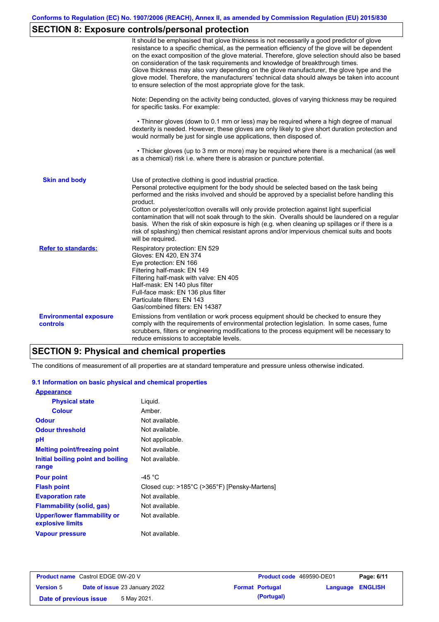## **SECTION 8: Exposure controls/personal protection**

|                                           | It should be emphasised that glove thickness is not necessarily a good predictor of glove<br>resistance to a specific chemical, as the permeation efficiency of the glove will be dependent<br>on the exact composition of the glove material. Therefore, glove selection should also be based<br>on consideration of the task requirements and knowledge of breakthrough times.<br>Glove thickness may also vary depending on the glove manufacturer, the glove type and the<br>glove model. Therefore, the manufacturers' technical data should always be taken into account<br>to ensure selection of the most appropriate glove for the task.                                     |
|-------------------------------------------|---------------------------------------------------------------------------------------------------------------------------------------------------------------------------------------------------------------------------------------------------------------------------------------------------------------------------------------------------------------------------------------------------------------------------------------------------------------------------------------------------------------------------------------------------------------------------------------------------------------------------------------------------------------------------------------|
|                                           | Note: Depending on the activity being conducted, gloves of varying thickness may be required<br>for specific tasks. For example:                                                                                                                                                                                                                                                                                                                                                                                                                                                                                                                                                      |
|                                           | • Thinner gloves (down to 0.1 mm or less) may be required where a high degree of manual<br>dexterity is needed. However, these gloves are only likely to give short duration protection and<br>would normally be just for single use applications, then disposed of.                                                                                                                                                                                                                                                                                                                                                                                                                  |
|                                           | • Thicker gloves (up to 3 mm or more) may be required where there is a mechanical (as well<br>as a chemical) risk i.e. where there is abrasion or puncture potential.                                                                                                                                                                                                                                                                                                                                                                                                                                                                                                                 |
| <b>Skin and body</b>                      | Use of protective clothing is good industrial practice.<br>Personal protective equipment for the body should be selected based on the task being<br>performed and the risks involved and should be approved by a specialist before handling this<br>product.<br>Cotton or polyester/cotton overalls will only provide protection against light superficial<br>contamination that will not soak through to the skin. Overalls should be laundered on a regular<br>basis. When the risk of skin exposure is high (e.g. when cleaning up spillages or if there is a<br>risk of splashing) then chemical resistant aprons and/or impervious chemical suits and boots<br>will be required. |
| <b>Refer to standards:</b>                | Respiratory protection: EN 529<br>Gloves: EN 420, EN 374<br>Eye protection: EN 166<br>Filtering half-mask: EN 149<br>Filtering half-mask with valve: EN 405<br>Half-mask: EN 140 plus filter<br>Full-face mask: EN 136 plus filter<br>Particulate filters: EN 143<br>Gas/combined filters: EN 14387                                                                                                                                                                                                                                                                                                                                                                                   |
| <b>Environmental exposure</b><br>controls | Emissions from ventilation or work process equipment should be checked to ensure they<br>comply with the requirements of environmental protection legislation. In some cases, fume<br>scrubbers, filters or engineering modifications to the process equipment will be necessary to<br>reduce emissions to acceptable levels.                                                                                                                                                                                                                                                                                                                                                         |

# **SECTION 9: Physical and chemical properties**

The conditions of measurement of all properties are at standard temperature and pressure unless otherwise indicated.

### **9.1 Information on basic physical and chemical properties**

| <b>Appearance</b>                                      |                                              |
|--------------------------------------------------------|----------------------------------------------|
| <b>Physical state</b>                                  | Liguid.                                      |
| <b>Colour</b>                                          | Amber.                                       |
| <b>Odour</b>                                           | Not available.                               |
| <b>Odour threshold</b>                                 | Not available.                               |
| рH                                                     | Not applicable.                              |
| <b>Melting point/freezing point</b>                    | Not available.                               |
| Initial boiling point and boiling                      | Not available.                               |
| range                                                  |                                              |
| <b>Pour point</b>                                      | -45 $^{\circ}$ C                             |
| <b>Flash point</b>                                     | Closed cup: >185°C (>365°F) [Pensky-Martens] |
| <b>Evaporation rate</b>                                | Not available.                               |
| Flammability (solid, gas)                              | Not available.                               |
| <b>Upper/lower flammability or</b><br>explosive limits | Not available.                               |
| <b>Vapour pressure</b>                                 | Not available.                               |

| <b>Product name</b> Castrol EDGE 0W-20 V |  |                                      | Product code 469590-DE01 | Page: 6/11             |                         |  |
|------------------------------------------|--|--------------------------------------|--------------------------|------------------------|-------------------------|--|
| <b>Version 5</b>                         |  | <b>Date of issue 23 January 2022</b> |                          | <b>Format Portugal</b> | <b>Language ENGLISH</b> |  |
| Date of previous issue                   |  | 5 May 2021.                          |                          | (Portugal)             |                         |  |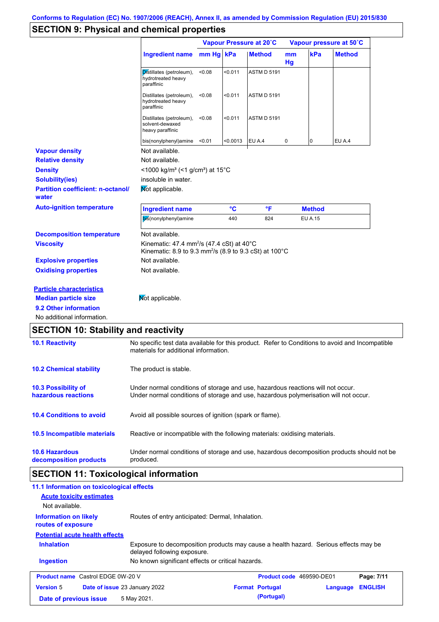### **SECTION 9: Physical and chemical properties**

|                                                                                                                                                                                                   |                                                                                                                                       | Vapour Pressure at 20°C |         |                    | Vapour pressure at 50°C |                |               |
|---------------------------------------------------------------------------------------------------------------------------------------------------------------------------------------------------|---------------------------------------------------------------------------------------------------------------------------------------|-------------------------|---------|--------------------|-------------------------|----------------|---------------|
|                                                                                                                                                                                                   | <b>Ingredient name</b>                                                                                                                | mm Hg kPa               |         | <b>Method</b>      | mm<br>Hg                | kPa            | <b>Method</b> |
|                                                                                                                                                                                                   | Distillates (petroleum),<br>hydrotreated heavy<br>paraffinic                                                                          | < 0.08                  | < 0.011 | <b>ASTM D 5191</b> |                         |                |               |
|                                                                                                                                                                                                   | Distillates (petroleum),<br>hydrotreated heavy<br>paraffinic                                                                          | < 0.08                  | < 0.011 | <b>ASTM D 5191</b> |                         |                |               |
|                                                                                                                                                                                                   | Distillates (petroleum),<br>solvent-dewaxed<br>heavy paraffinic                                                                       | < 0.08                  | < 0.011 | <b>ASTM D 5191</b> |                         |                |               |
|                                                                                                                                                                                                   | bis(nonylphenyl)amine                                                                                                                 | < 0.01                  | <0.0013 | EU A.4             | 0                       | $\overline{0}$ | EU A.4        |
| <b>Vapour density</b>                                                                                                                                                                             | Not available.                                                                                                                        |                         |         |                    |                         |                |               |
| <b>Relative density</b>                                                                                                                                                                           | Not available.                                                                                                                        |                         |         |                    |                         |                |               |
| <b>Density</b>                                                                                                                                                                                    | <1000 kg/m <sup>3</sup> (<1 g/cm <sup>3</sup> ) at 15 <sup>°</sup> C                                                                  |                         |         |                    |                         |                |               |
|                                                                                                                                                                                                   |                                                                                                                                       |                         |         |                    |                         |                |               |
|                                                                                                                                                                                                   | insoluble in water.                                                                                                                   |                         |         |                    |                         |                |               |
|                                                                                                                                                                                                   | Mot applicable.                                                                                                                       |                         |         |                    |                         |                |               |
|                                                                                                                                                                                                   | <b>Ingredient name</b>                                                                                                                |                         | °C      | °F                 |                         | <b>Method</b>  |               |
|                                                                                                                                                                                                   | bis(nonylphenyl)amine                                                                                                                 |                         | 440     | 824                |                         | <b>EU A.15</b> |               |
| <b>Decomposition temperature</b>                                                                                                                                                                  | Not available.                                                                                                                        |                         |         |                    |                         |                |               |
|                                                                                                                                                                                                   | Kinematic: 47.4 mm <sup>2</sup> /s (47.4 cSt) at 40 $\degree$ C<br>Kinematic: 8.9 to 9.3 mm <sup>2</sup> /s (8.9 to 9.3 cSt) at 100°C |                         |         |                    |                         |                |               |
|                                                                                                                                                                                                   | Not available.                                                                                                                        |                         |         |                    |                         |                |               |
| <b>Solubility(ies)</b><br><b>Partition coefficient: n-octanol/</b><br>water<br><b>Auto-ignition temperature</b><br><b>Viscosity</b><br><b>Explosive properties</b><br><b>Oxidising properties</b> | Not available.                                                                                                                        |                         |         |                    |                         |                |               |
|                                                                                                                                                                                                   |                                                                                                                                       |                         |         |                    |                         |                |               |
| <b>Particle characteristics</b><br><b>Median particle size</b>                                                                                                                                    | Not applicable.                                                                                                                       |                         |         |                    |                         |                |               |
| 9.2 Other information                                                                                                                                                                             |                                                                                                                                       |                         |         |                    |                         |                |               |

### **10.4 Conditions to avoid** Avoid all possible sources of ignition (spark or flame). **10.2 Chemical stability** The product is stable. **10.5 Incompatible materials 10.3 Possibility of hazardous reactions** Under normal conditions of storage and use, hazardous reactions will not occur. Under normal conditions of storage and use, hazardous polymerisation will not occur. **SECTION 10: Stability and reactivity 10.1 Reactivity** No specific test data available for this product. Refer to Conditions to avoid and Incompatible materials for additional information. Reactive or incompatible with the following materials: oxidising materials.

**10.6 Hazardous decomposition products** Under normal conditions of storage and use, hazardous decomposition products should not be produced.

### **SECTION 11: Toxicological information**

| 11.1 Information on toxicological effects          |                                                                                                                     |                          |          |                |
|----------------------------------------------------|---------------------------------------------------------------------------------------------------------------------|--------------------------|----------|----------------|
| <b>Acute toxicity estimates</b>                    |                                                                                                                     |                          |          |                |
| Not available.                                     |                                                                                                                     |                          |          |                |
| <b>Information on likely</b><br>routes of exposure | Routes of entry anticipated: Dermal, Inhalation.                                                                    |                          |          |                |
| <b>Potential acute health effects</b>              |                                                                                                                     |                          |          |                |
| <b>Inhalation</b>                                  | Exposure to decomposition products may cause a health hazard. Serious effects may be<br>delayed following exposure. |                          |          |                |
| <b>Ingestion</b>                                   | No known significant effects or critical hazards.                                                                   |                          |          |                |
| <b>Product name</b> Castrol EDGE 0W-20 V           |                                                                                                                     | Product code 469590-DE01 |          | Page: 7/11     |
| <b>Version 5</b>                                   | <b>Date of issue 23 January 2022</b>                                                                                | <b>Format Portugal</b>   | Language | <b>ENGLISH</b> |
| Date of previous issue                             | 5 May 2021.                                                                                                         | (Portugal)               |          |                |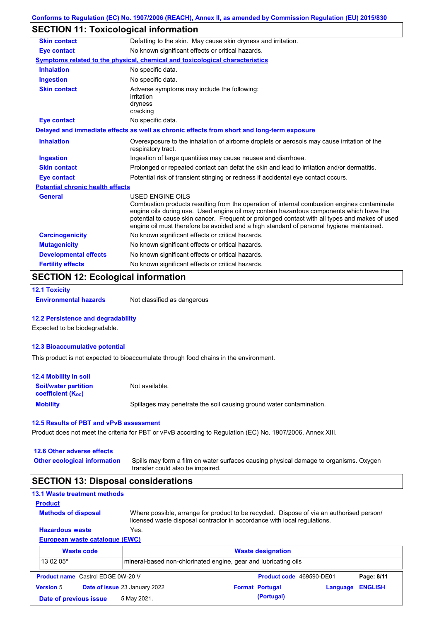## **SECTION 11: Toxicological information**

| <b>Skin contact</b>                     | Defatting to the skin. May cause skin dryness and irritation.                                                                                                                                                                                                                                                                                                                                                   |  |  |
|-----------------------------------------|-----------------------------------------------------------------------------------------------------------------------------------------------------------------------------------------------------------------------------------------------------------------------------------------------------------------------------------------------------------------------------------------------------------------|--|--|
| <b>Eye contact</b>                      | No known significant effects or critical hazards.                                                                                                                                                                                                                                                                                                                                                               |  |  |
|                                         | <b>Symptoms related to the physical, chemical and toxicological characteristics</b>                                                                                                                                                                                                                                                                                                                             |  |  |
| <b>Inhalation</b>                       | No specific data.                                                                                                                                                                                                                                                                                                                                                                                               |  |  |
| <b>Ingestion</b>                        | No specific data.                                                                                                                                                                                                                                                                                                                                                                                               |  |  |
| <b>Skin contact</b>                     | Adverse symptoms may include the following:<br>irritation<br>dryness<br>cracking                                                                                                                                                                                                                                                                                                                                |  |  |
| <b>Eye contact</b>                      | No specific data.                                                                                                                                                                                                                                                                                                                                                                                               |  |  |
|                                         | Delayed and immediate effects as well as chronic effects from short and long-term exposure                                                                                                                                                                                                                                                                                                                      |  |  |
| <b>Inhalation</b>                       | Overexposure to the inhalation of airborne droplets or aerosols may cause irritation of the<br>respiratory tract.                                                                                                                                                                                                                                                                                               |  |  |
| <b>Ingestion</b>                        | Ingestion of large quantities may cause nausea and diarrhoea.                                                                                                                                                                                                                                                                                                                                                   |  |  |
| <b>Skin contact</b>                     | Prolonged or repeated contact can defat the skin and lead to irritation and/or dermatitis.                                                                                                                                                                                                                                                                                                                      |  |  |
| <b>Eye contact</b>                      | Potential risk of transient stinging or redness if accidental eye contact occurs.                                                                                                                                                                                                                                                                                                                               |  |  |
| <b>Potential chronic health effects</b> |                                                                                                                                                                                                                                                                                                                                                                                                                 |  |  |
| <b>General</b>                          | <b>USED ENGINE OILS</b><br>Combustion products resulting from the operation of internal combustion engines contaminate<br>engine oils during use. Used engine oil may contain hazardous components which have the<br>potential to cause skin cancer. Frequent or prolonged contact with all types and makes of used<br>engine oil must therefore be avoided and a high standard of personal hygiene maintained. |  |  |
| <b>Carcinogenicity</b>                  | No known significant effects or critical hazards.                                                                                                                                                                                                                                                                                                                                                               |  |  |
| <b>Mutagenicity</b>                     | No known significant effects or critical hazards.                                                                                                                                                                                                                                                                                                                                                               |  |  |
| <b>Developmental effects</b>            | No known significant effects or critical hazards.                                                                                                                                                                                                                                                                                                                                                               |  |  |
|                                         |                                                                                                                                                                                                                                                                                                                                                                                                                 |  |  |

### **SECTION 12: Ecological information**

```
12.1 Toxicity
```
**Environmental hazards** Not classified as dangerous

#### **12.2 Persistence and degradability**

Expected to be biodegradable.

#### **12.3 Bioaccumulative potential**

This product is not expected to bioaccumulate through food chains in the environment.

| <b>12.4 Mobility in soil</b>                            |                                                                      |
|---------------------------------------------------------|----------------------------------------------------------------------|
| <b>Soil/water partition</b><br><b>coefficient (Koc)</b> | Not available.                                                       |
| <b>Mobility</b>                                         | Spillages may penetrate the soil causing ground water contamination. |

#### **12.5 Results of PBT and vPvB assessment**

Product does not meet the criteria for PBT or vPvB according to Regulation (EC) No. 1907/2006, Annex XIII.

#### **12.6 Other adverse effects**

**Other ecological information**

Spills may form a film on water surfaces causing physical damage to organisms. Oxygen transfer could also be impaired.

### **SECTION 13: Disposal considerations**

|  | <b>13.1 Waste treatment methods</b> |  |
|--|-------------------------------------|--|
|  |                                     |  |

```
Methods of disposal
Product
```
**Hazardous waste** Yes. Where possible, arrange for product to be recycled. Dispose of via an authorised person/ licensed waste disposal contractor in accordance with local regulations.

### **European waste catalogue (EWC)**

|                  | <b>Waste code</b>                        | <b>Waste designation</b>                                        |  |                          |          |                |
|------------------|------------------------------------------|-----------------------------------------------------------------|--|--------------------------|----------|----------------|
| 13 02 05*        |                                          | mineral-based non-chlorinated engine, gear and lubricating oils |  |                          |          |                |
|                  | <b>Product name</b> Castrol EDGE 0W-20 V |                                                                 |  | Product code 469590-DE01 |          | Page: 8/11     |
| <b>Version 5</b> |                                          | Date of issue 23 January 2022                                   |  | <b>Format Portugal</b>   | Language | <b>ENGLISH</b> |
|                  | Date of previous issue                   | 5 May 2021.                                                     |  | (Portugal)               |          |                |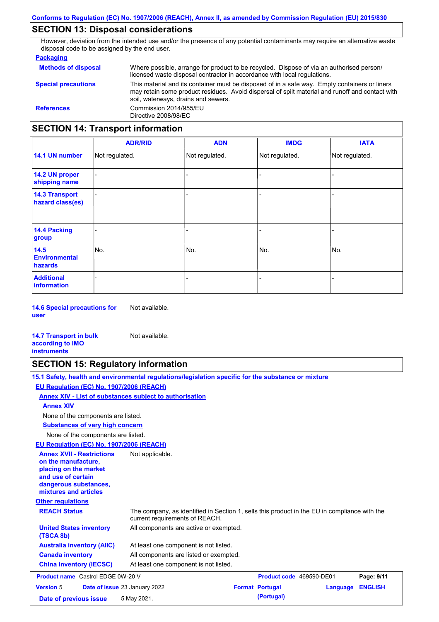### **SECTION 13: Disposal considerations**

However, deviation from the intended use and/or the presence of any potential contaminants may require an alternative waste disposal code to be assigned by the end user.

#### **Packaging**

| <b>SECTION 14: Transport information</b> |                                                                                                                                                                                                                                         |
|------------------------------------------|-----------------------------------------------------------------------------------------------------------------------------------------------------------------------------------------------------------------------------------------|
| <b>References</b>                        | Commission 2014/955/EU<br>Directive 2008/98/EC                                                                                                                                                                                          |
| <b>Special precautions</b>               | This material and its container must be disposed of in a safe way. Empty containers or liners<br>may retain some product residues. Avoid dispersal of spilt material and runoff and contact with<br>soil, waterways, drains and sewers. |
| <b>Methods of disposal</b>               | Where possible, arrange for product to be recycled. Dispose of via an authorised person/<br>licensed waste disposal contractor in accordance with local regulations.                                                                    |

#### - - - - - - - - - Not regulated. Not regulated. Not regulated. - - - **ADR/RID IMDG IATA 14.1 UN number 14.2 UN proper shipping name 14.3 Transport hazard class(es) 14.4 Packing group ADN Additional information 14.5 Environmental hazards** No. 1980 | No. 1980 | No. 1980 | No. 1980 | No. 1980 | No. 1980 | No. 1980 | No. 1980 | No. 1980 | No. 1980 | Not regulated. - No. - -

**14.6 Special precautions for user** Not available.

#### **14.7 Transport in bulk according to IMO instruments**

### **SECTION 15: Regulatory information**

Not available.

|                                                                                                                                                          | 15.1 Safety, health and environmental regulations/legislation specific for the substance or mixture |
|----------------------------------------------------------------------------------------------------------------------------------------------------------|-----------------------------------------------------------------------------------------------------|
| EU Regulation (EC) No. 1907/2006 (REACH)                                                                                                                 |                                                                                                     |
| Annex XIV - List of substances subject to authorisation                                                                                                  |                                                                                                     |
| <b>Annex XIV</b>                                                                                                                                         |                                                                                                     |
| None of the components are listed.                                                                                                                       |                                                                                                     |
| <b>Substances of very high concern</b>                                                                                                                   |                                                                                                     |
| None of the components are listed.                                                                                                                       |                                                                                                     |
| EU Regulation (EC) No. 1907/2006 (REACH)                                                                                                                 |                                                                                                     |
| <b>Annex XVII - Restrictions</b><br>on the manufacture,<br>placing on the market<br>and use of certain<br>dangerous substances,<br>mixtures and articles | Not applicable.                                                                                     |

**Other regulations**

| The company, as identified in Section 1, sells this product in the EU in compliance with the<br>current requirements of REACH. |
|--------------------------------------------------------------------------------------------------------------------------------|
| All components are active or exempted.                                                                                         |
| At least one component is not listed.                                                                                          |
| All components are listed or exempted.                                                                                         |
| At least one component is not listed.                                                                                          |
|                                                                                                                                |

| <b>Product name</b> Castrol EDGE 0W-20 V |                                      | <b>Product code</b> 469590-DE01 |  | Page: 9/11             |                  |  |
|------------------------------------------|--------------------------------------|---------------------------------|--|------------------------|------------------|--|
| <b>Version 5</b>                         | <b>Date of issue 23 January 2022</b> |                                 |  | <b>Format Portugal</b> | Language ENGLISH |  |
| Date of previous issue                   |                                      | 5 May 2021.                     |  | (Portugal)             |                  |  |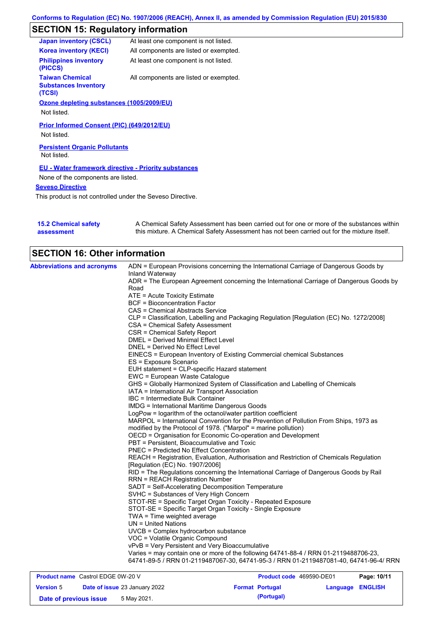# **SECTION 15: Regulatory information**

| <b>Japan inventory (CSCL)</b>                                   | At least one component is not listed.  |
|-----------------------------------------------------------------|----------------------------------------|
| <b>Korea inventory (KECI)</b>                                   | All components are listed or exempted. |
| <b>Philippines inventory</b><br>(PICCS)                         | At least one component is not listed.  |
| <b>Taiwan Chemical</b><br><b>Substances Inventory</b><br>(TCSI) | All components are listed or exempted. |
| Ozone depleting substances (1005/2009/EU)                       |                                        |
| Not listed.                                                     |                                        |
| Prior Informed Consent (PIC) (649/2012/EU)                      |                                        |
| Not listed.                                                     |                                        |
| <b>Persistent Organic Pollutants</b><br>Not listed.             |                                        |
| <b>EU - Water framework directive - Priority substances</b>     |                                        |
| None of the components are listed.                              |                                        |
| <b>Seveso Directive</b>                                         |                                        |
|                                                                 |                                        |

This product is not controlled under the Seveso Directive.

| <b>15.2 Chemical safety</b> | A Chemical Safety Assessment has been carried out for one or more of the substances within  |
|-----------------------------|---------------------------------------------------------------------------------------------|
| assessment                  | this mixture. A Chemical Safety Assessment has not been carried out for the mixture itself. |

| <b>SECTION 16: Other information</b>     |                                                                                                                                                                               |
|------------------------------------------|-------------------------------------------------------------------------------------------------------------------------------------------------------------------------------|
| <b>Abbreviations and acronyms</b>        | ADN = European Provisions concerning the International Carriage of Dangerous Goods by<br>Inland Waterway                                                                      |
|                                          | ADR = The European Agreement concerning the International Carriage of Dangerous Goods by<br>Road                                                                              |
|                                          |                                                                                                                                                                               |
|                                          | ATE = Acute Toxicity Estimate<br><b>BCF</b> = Bioconcentration Factor                                                                                                         |
|                                          | CAS = Chemical Abstracts Service                                                                                                                                              |
|                                          | CLP = Classification, Labelling and Packaging Regulation [Regulation (EC) No. 1272/2008]                                                                                      |
|                                          | CSA = Chemical Safety Assessment                                                                                                                                              |
|                                          | CSR = Chemical Safety Report                                                                                                                                                  |
|                                          | DMEL = Derived Minimal Effect Level                                                                                                                                           |
|                                          | DNEL = Derived No Effect Level                                                                                                                                                |
|                                          | EINECS = European Inventory of Existing Commercial chemical Substances                                                                                                        |
|                                          | ES = Exposure Scenario                                                                                                                                                        |
|                                          | EUH statement = CLP-specific Hazard statement                                                                                                                                 |
|                                          | EWC = European Waste Catalogue                                                                                                                                                |
|                                          | GHS = Globally Harmonized System of Classification and Labelling of Chemicals                                                                                                 |
|                                          | IATA = International Air Transport Association                                                                                                                                |
|                                          | IBC = Intermediate Bulk Container                                                                                                                                             |
|                                          | <b>IMDG</b> = International Maritime Dangerous Goods                                                                                                                          |
|                                          | LogPow = logarithm of the octanol/water partition coefficient                                                                                                                 |
|                                          | MARPOL = International Convention for the Prevention of Pollution From Ships, 1973 as                                                                                         |
|                                          | modified by the Protocol of 1978. ("Marpol" = marine pollution)                                                                                                               |
|                                          | OECD = Organisation for Economic Co-operation and Development<br>PBT = Persistent, Bioaccumulative and Toxic                                                                  |
|                                          | <b>PNEC = Predicted No Effect Concentration</b>                                                                                                                               |
|                                          | REACH = Registration, Evaluation, Authorisation and Restriction of Chemicals Regulation                                                                                       |
|                                          | [Regulation (EC) No. 1907/2006]                                                                                                                                               |
|                                          | RID = The Regulations concerning the International Carriage of Dangerous Goods by Rail                                                                                        |
|                                          | <b>RRN = REACH Registration Number</b>                                                                                                                                        |
|                                          | SADT = Self-Accelerating Decomposition Temperature                                                                                                                            |
|                                          | SVHC = Substances of Very High Concern                                                                                                                                        |
|                                          | STOT-RE = Specific Target Organ Toxicity - Repeated Exposure                                                                                                                  |
|                                          | STOT-SE = Specific Target Organ Toxicity - Single Exposure                                                                                                                    |
|                                          | $TWA = Time weighted average$                                                                                                                                                 |
|                                          | UN = United Nations                                                                                                                                                           |
|                                          | UVCB = Complex hydrocarbon substance                                                                                                                                          |
|                                          | VOC = Volatile Organic Compound                                                                                                                                               |
|                                          | vPvB = Very Persistent and Very Bioaccumulative                                                                                                                               |
|                                          | Varies = may contain one or more of the following 64741-88-4 / RRN 01-2119488706-23,<br>64741-89-5 / RRN 01-2119487067-30, 64741-95-3 / RRN 01-2119487081-40, 64741-96-4/ RRN |
| <b>Product name</b> Castrol EDGE 0W-20 V | Product code 469590-DE01<br>Page: 10/11                                                                                                                                       |

| <b>Product name</b> Castrol EDGE UW-20 V |                               |                        | <b>Product code</b> 409590-DEUT | Page: 10/11 |
|------------------------------------------|-------------------------------|------------------------|---------------------------------|-------------|
| <b>Version 5</b>                         | Date of issue 23 January 2022 | <b>Format Portugal</b> | Language ENGLISH                |             |
| Date of previous issue                   | 5 May 2021.                   | (Portugal)             |                                 |             |